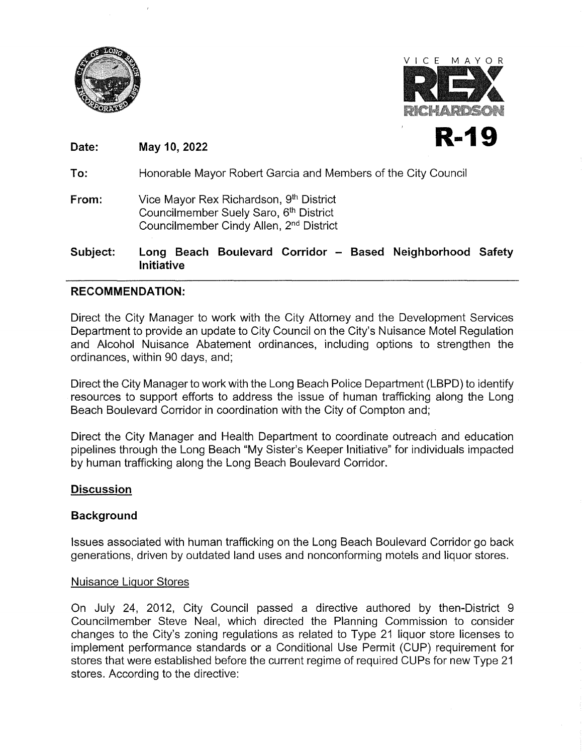



**Date:**  May 10, 2022 **R-19** 

**To:**  Honorable Mayor Robert Garcia and Members of the City Council

**From:**  Vice Mayor Rex Richardson, 9<sup>th</sup> District Councilmember Suely Saro, 6<sup>th</sup> District Councilmember Cindy Allen, 2nd District

**Subject: Long Beach Boulevard Corridor - Based Neighborhood Safety Initiative** 

### **RECOMMENDATION:**

Direct the City Manager to work with the City Attorney and the Development Services Department to provide an update to City Council on the City's Nuisance Motel Regulation and Alcohol Nuisance Abatement ordinances, including options to strengthen the ordinances, within 90 days, and;

Direct the City Manager to work with the Long Beach Police Department (LBPD) to identify resources to support efforts to address the issue of human trafficking along the Long Beach Boulevard Corridor in coordination with the City of Compton and;

Direct the City Manager and Health Department to coordinate outreach and education pipelines through the Long Beach "My Sister's Keeper Initiative" for individuals impacted by human trafficking along the Long Beach Boulevard Corridor.

# **Discussion**

# **Background**

Issues associated with human trafficking on the Long Beach Boulevard Corridor go back generations, driven by outdated land uses and nonconforming motels and liquor stores.

#### Nuisance Liquor Stores

On July 24, 2012, City Council passed a directive authored by then-District 9 Councilmember Steve Neal, which directed the Planning Commission to consider changes to the City's zoning regulations as related to Type 21 liquor store licenses to implement performance standards or a Conditional Use Permit (CUP) requirement for stores that were established before the current regime of required CUPs for new Type 21 stores. According to the directive: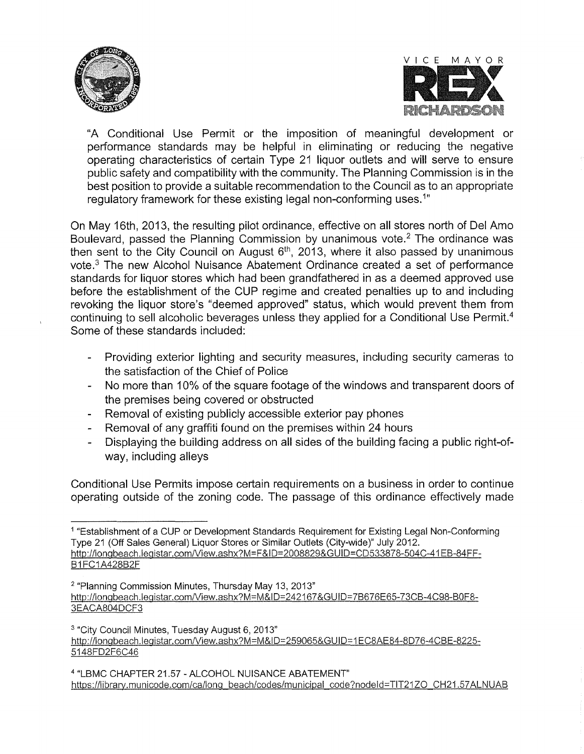



"A Conditional Use Permit or the imposition of meaningful development or performance standards may be helpful in eliminating or reducing the negative operating characteristics of certain Type 21 liquor outlets and will serve to ensure public safety and compatibility with the community. The Planning Commission is in the best position to provide a suitable recommendation to the Council as to an appropriate regulatory framework for these existing legal non-conforming uses.<sup>1</sup>"

On May 16th, 2013, the resulting pilot ordinance, effective on all stores north of Del Amo Boulevard, passed the Planning Commission by unanimous vote.2 The ordinance was then sent to the City Council on August  $6<sup>th</sup>$ , 2013, where it also passed by unanimous vote.3 The new Alcohol Nuisance Abatement Ordinance created a set of performance standards for liquor stores which had been grandfathered in as a deemed approved use before the establishment of the CUP regime and created penalties up to and including revoking the liquor store's "deemed approved" status, which would prevent them from continuing to sell alcoholic beverages unless they applied for a Conditional Use Permit.<sup>4</sup> Some of these standards included:

- Providing exterior lighting and security measures, including security cameras to the satisfaction of the Chief of Police
- No more than 10% of the square footage of the windows and transparent doors of the premises being covered or obstructed
- Removal of existing publicly accessible exterior pay phones
- Removal of any graffiti found on the premises within 24 hours
- Displaying the building address on all sides of the building facing a public right-ofway, including alleys

Conditional Use Permits impose certain requirements on a business in order to continue operating outside of the zoning code. The passage of this ordinance effectively made

<sup>1</sup>"Establishment of a CUP or Development Standards Requirement for Existing Legal Non-Conforming Type 21 (Off Sales General) Liquor Stores or Similar Outlets (City-wide)" July 2012. http://longbeach.legistar.com/View.ashx?M=F&ID=2008829&GUID=CD533878-504C-41EB-84FF-**B1FC1A428B2F** 

<sup>2 &</sup>quot;Planning Commission Minutes, Thursday May 13, 2013" http://longbeach.legistar.com/View.ashx?M=M&ID=242167&GUID=7B676E65-73CB-4C98-B0F8-3EACA804DCF3

<sup>3 &</sup>quot;City Council Minutes, Tuesday August 6, 2013" http://longbeach.leqistar.com/View.ashx?M=M&ID=259065&GUID=1 EC8AE84-8D76-4CBE-8225- 5148FD2F6C46

<sup>4</sup>**"LBMC CHAPTER 21.57** - **ALCOHOL NUISANCE ABATEMENT"**  https://library.municode.com/ca/long\_beach/codes/municipal\_code?nodeld=TIT21ZO\_CH21.57ALNUAB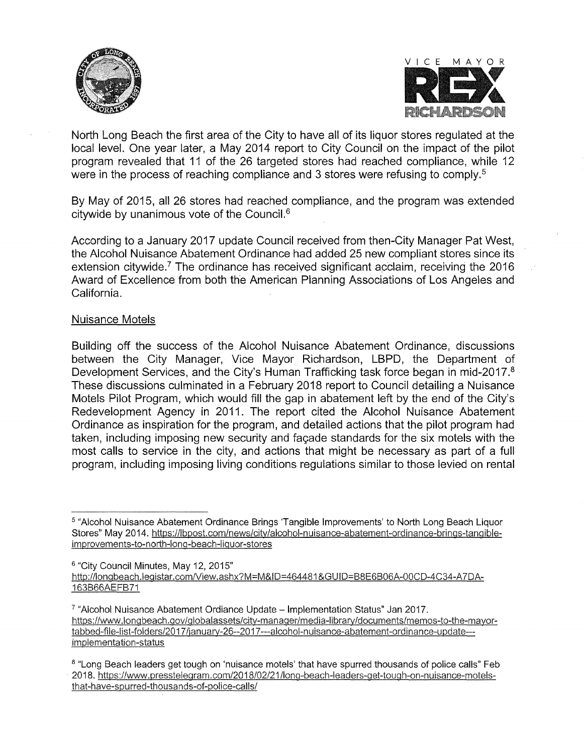



North Long Beach the first area of the City to have all of its liquor stores regulated at the local level. One year later, a May 2014 report to City Council on the impact of the pilot program revealed that 11 of the 26 targeted stores had reached compliance, while 12 were in the process of reaching compliance and 3 stores were refusing to comply.<sup>5</sup>

By May of 2015, all 26 stores had reached compliance, and the program was extended citywide by unanimous vote of the Council.6

According to a January 2017 update Council received from then-City Manager Pat West, the Alcohol Nuisance Abatement Ordinance had added 25 new compliant stores since its extension citywide.<sup>7</sup> The ordinance has received significant acclaim, receiving the  $2016$ Award of Excellence from both the American Planning Associations of Los Angeles and California.

### Nuisance Motels

Building off the success of the Alcohol Nuisance Abatement Ordinance, discussions between the City Manager, Vice Mayor Richardson, LBPD, the Department of Development Services, and the City's Human Trafficking task force began in mid-2017.8 These discussions culminated in a February 2018 report to Council detailing a Nuisance Motels Pilot Program, which would fill the gap in abatement left by the end of the City's Redevelopment Agency in 2011. The report cited the Alcohol Nuisance Abatement Ordinance as inspiration for the program, and detailed actions that the pilot program had taken, including imposing new security and facade standards for the six motels with the most calls to service in the city, and actions that might be necessary as part of a full program, including imposing living conditions regulations similar to those levied on rental

<sup>5 &</sup>quot;Alcohol Nuisance Abatement Ordinance Brings 'Tangible Improvements' to North Long Beach Liquor Stores" May 2014. https://lbpost.com/news/city/alcohol-nuisance-abatement-ordinance-brings-tangibleimprovements-to-north-lonq-beach-liguor-stores

<sup>6 &</sup>quot;City Council Minutes, May 12, 2015" http://longbeach.legistar.com/View.ashx?M=M&ID=464481&GUID=B8E6B06A-00CD-4C34-A7DA-163B66AEFB71

 $7$  "Alcohol Nuisance Abatement Ordiance Update  $-$  Implementation Status" Jan 2017. https://www.longbeach.gov/globalassets/city-manager/media-library/documents/memos-to-the-mayortabbed-file-list-folders/2017/january-26--2017---alcohol-nuisance-abatement-ordinance-update--implementation-status

<sup>&</sup>lt;sup>8</sup> "Long Beach leaders get tough on 'nuisance motels' that have spurred thousands of police calls" Feb 2018. https:/ /www.pressteleqram.com/2018/02/21 /long-beach-leaders-get-tough-on-nuisance-motelsthat-have-spurred-thousands-of-police-calls/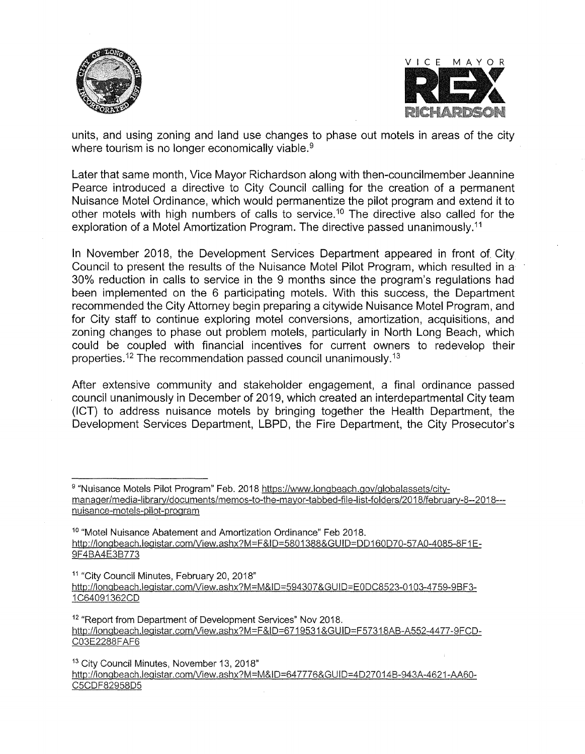



units, and using zoning and land use changes to phase out motels in areas of the city where tourism is no longer economically viable.<sup>9</sup>

Later that same month, Vice Mayor Richardson along with then-councilmember Jeannine Pearce introduced a directive to City Council calling for the creation of a permanent Nuisance Motel Ordinance, which would permanentize the pilot program and extend it to other motels with high numbers of calls to service.<sup>10</sup> The directive also called for the exploration of a Motel Amortization Program. The directive passed unanimously.<sup>11</sup>

In November 2018, the Development Services Department appeared in front of City Council to present the results of the Nuisance Motel Pilot Program, which resulted in a 30% reduction in calls to service in the 9 months since the program's regulations had been implemented on the 6 participating motels. With this success, the Department recommended the City Attorney begin preparing a citywide Nuisance Motel Program, and for City staff to continue exploring motel conversions, amortization, acquisitions, and zoning changes to phase out problem motels, particularly in North Long Beach, which could be coupled with financial incentives for current owners to redevelop their properties.<sup>12</sup> The recommendation passed council unanimously.<sup>13</sup>

After extensive community and stakeholder engagement, a final ordinance passed council unanimously in December of 2019, which created an interdepartmental City team (ICT) to address nuisance motels by bringing together the Health Department, the Development Services Department, LBPD, the Fire Department, the City Prosecutor's

<sup>10</sup> "Motel Nuisance Abatement and Amortization Ordinance" Feb 2018. http://longbeach.legistar.com/View.ashx?M=F&ID=5801388&GUID=DD160D70-57A0-4085-8F1E-9F4BA4E3B773

<sup>11</sup> "City Council Minutes, February 20, 2018" http://longbeach.legistar.com/View.ashx?M=M&ID=594307&GUID=E0DC8523-0103-4759-9BF3-1 C64091362CD

<sup>12</sup> "Report from Department of Development Services" Nov 2018. http://longbeach.legistar.com/View.ashx?M=F&ID=6719531&GUID=F57318AB-A552-4477-9FCD-C03E2288FAF6

<sup>13</sup> City Council Minutes, November 13, 2018"

http://longbeach.legistar.com/View.ashx?M=M&ID=647776&GUID=4D27014B-943A-4621-AA60-C5CDF82958D5

<sup>9 &</sup>quot;Nuisance Motels Pilot Program" Feb. 2018 https://www.longbeach.gov/globalassets/citymanager/media-library/documents/memos-to-the-mayor-tabbed-file-list-folders/2018/february-8--2018--nuisance-motels-pilot-program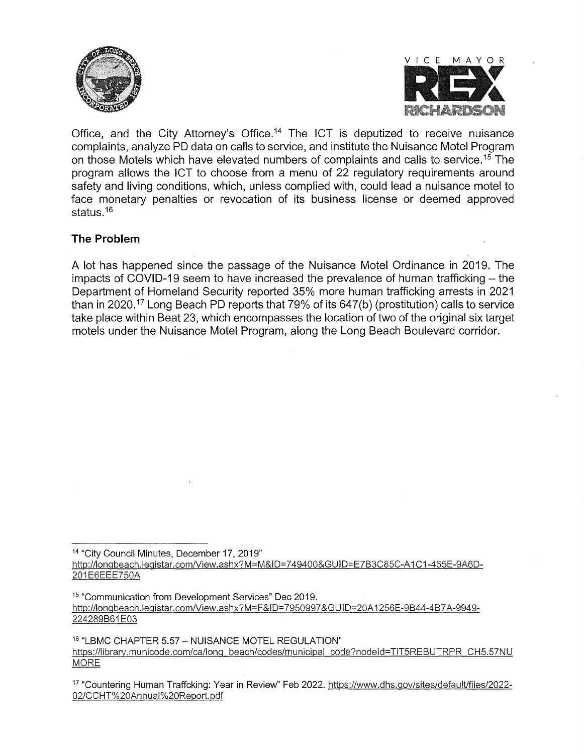



Office, and the City Attorney's Office.<sup>14</sup> The ICT is deputized to receive nuisance complaints, analyze PD data on calls to service, and institute the Nuisance Motel Program on those Motels which have elevated numbers of complaints and calls to service.<sup>15</sup> The program allows the ICT to choose from a menu of 22 regulatory requirements around safety and living conditions, which, unless complied with, could lead a nuisance motel to face monetary penalties or revocation of its business license or deemed approved status.<sup>16</sup>

# **The Problem**

A lot has happened since the passage of the Nuisance Motel Ordinance in 2019. The impacts of COVID-19 seem to have increased the prevalence of human trafficking – the Department of Homeland Security reported 35% more human trafficking arrests in 2021 than in 2020.<sup>17</sup> Long Beach PD reports that 79% of its  $647(b)$  (prostitution) calls to service take place within Beat 23, which encompasses the location of two of the original six target motels under the Nuisance Motel Program, along the Long Beach Boulevard corridor.

<sup>14</sup>"City Council Minutes, December 17, 2019" http://longbeach.legistar.com/View.ashx?M=M&ID=749400&GUID=E7B3C85C-A1C1-465E-9A6D-201E6EEE750A

<sup>&</sup>lt;sup>15</sup> "Communication from Development Services" Dec 2019. http://longbeach.legistar.com/View.ashx?M=F&ID=7950997&GUID=20A1256E-9B44-4B7A-9949-224289B61E03

<sup>16</sup>"LBMC CHAPTER 5.57- NUISANCE MOTEL REGULATION" https://libraty.municode.com/ca/long beach/codes/municipal code?nodeld=TIT5REBUTRPR CH5.57NU **MORE** 

<sup>17</sup>"Countering Human Traffcking: Year in Review" Feb 2022. https://www.dhs.gov/sites/default/files/2022- 02/CCHT%20Annual%20Report.pdf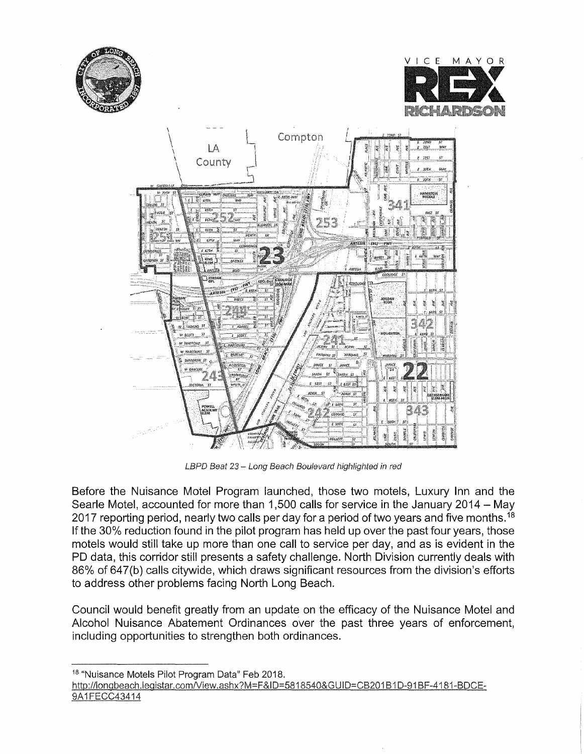





LBPD Beat 23 - Long Beach Boulevard highlighted in red

Before the Nuisance Motel Program launched, those two motels, Luxury Inn and the Searle Motel, accounted for more than 1,500 calls for service in the January 2014 - May 2017 reporting period, nearly two calls per day for a period of two years and five months.<sup>18</sup> If the 30% reduction found in the pilot program has held up over the past four years, those motels would still take up more than one call to service per day, and as is evident in the PD data, this corridor still presents a safety challenge. North Division currently deals with 86% of 647(b) calls citywide, which draws significant resources from the division's efforts to address other problems facing North Long Beach.

Council would benefit greatly from an update on the efficacy of the Nuisance Motel and Alcohol Nuisance Abatement Ordinances over the past three years of enforcement, including opportunities to strengthen both ordinances.

<sup>18</sup> "Nuisance Motels Pilot Program Data" Feb 2018.

```
http://longbeach.legistar.com/View.ashx?M=F&ID=5818540&GUID=CB201B1D-91BF-4181-BDCE-
9A1FECC43414
```